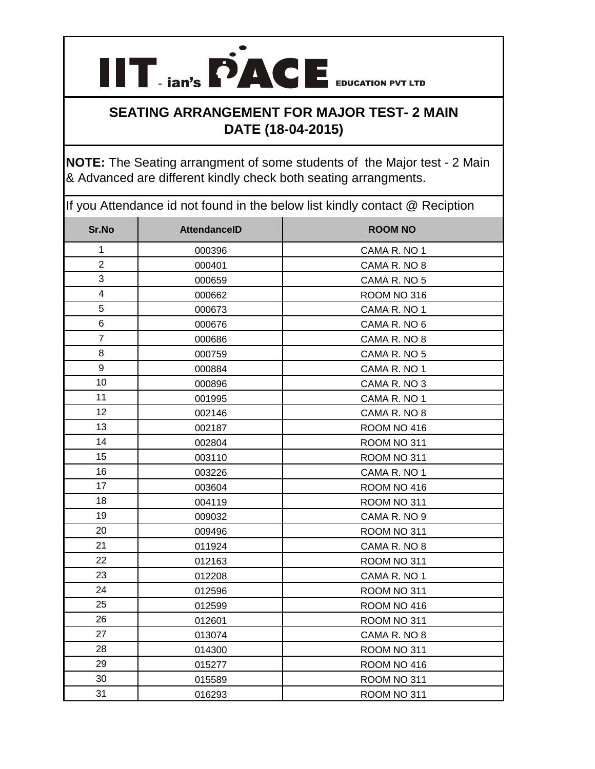

## **SEATING ARRANGEMENT FOR MAJOR TEST- 2 MAIN DATE (18-04-2015)**

**NOTE:** The Seating arrangment of some students of the Major test - 2 Main & Advanced are different kindly check both seating arrangments.

If you Attendance id not found in the below list kindly contact @ Reciption

| Sr.No                   | <b>AttendanceID</b> | <b>ROOM NO</b> |
|-------------------------|---------------------|----------------|
| 1                       | 000396              | CAMA R. NO 1   |
| $\overline{2}$          | 000401              | CAMA R. NO 8   |
| 3                       | 000659              | CAMA R. NO 5   |
| $\overline{\mathbf{4}}$ | 000662              | ROOM NO 316    |
| 5                       | 000673              | CAMA R. NO 1   |
| 6                       | 000676              | CAMA R. NO 6   |
| $\overline{7}$          | 000686              | CAMA R. NO 8   |
| 8                       | 000759              | CAMA R. NO 5   |
| $\boldsymbol{9}$        | 000884              | CAMA R. NO 1   |
| 10                      | 000896              | CAMA R. NO 3   |
| 11                      | 001995              | CAMA R. NO 1   |
| 12                      | 002146              | CAMA R. NO 8   |
| 13                      | 002187              | ROOM NO 416    |
| 14                      | 002804              | ROOM NO 311    |
| 15                      | 003110              | ROOM NO 311    |
| 16                      | 003226              | CAMA R. NO 1   |
| 17                      | 003604              | ROOM NO 416    |
| 18                      | 004119              | ROOM NO 311    |
| 19                      | 009032              | CAMA R. NO 9   |
| 20                      | 009496              | ROOM NO 311    |
| 21                      | 011924              | CAMA R. NO 8   |
| 22                      | 012163              | ROOM NO 311    |
| 23                      | 012208              | CAMA R. NO 1   |
| 24                      | 012596              | ROOM NO 311    |
| 25                      | 012599              | ROOM NO 416    |
| 26                      | 012601              | ROOM NO 311    |
| 27                      | 013074              | CAMA R. NO 8   |
| 28                      | 014300              | ROOM NO 311    |
| 29                      | 015277              | ROOM NO 416    |
| 30                      | 015589              | ROOM NO 311    |
| 31                      | 016293              | ROOM NO 311    |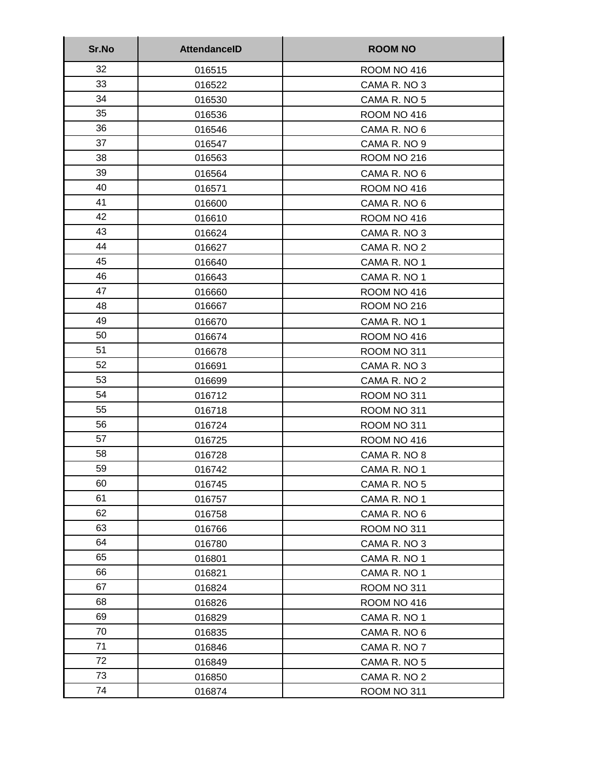| Sr.No | <b>AttendanceID</b> | <b>ROOM NO</b> |
|-------|---------------------|----------------|
| 32    | 016515              | ROOM NO 416    |
| 33    | 016522              | CAMA R. NO 3   |
| 34    | 016530              | CAMA R. NO 5   |
| 35    | 016536              | ROOM NO 416    |
| 36    | 016546              | CAMA R. NO 6   |
| 37    | 016547              | CAMA R. NO 9   |
| 38    | 016563              | ROOM NO 216    |
| 39    | 016564              | CAMA R. NO 6   |
| 40    | 016571              | ROOM NO 416    |
| 41    | 016600              | CAMA R. NO 6   |
| 42    | 016610              | ROOM NO 416    |
| 43    | 016624              | CAMA R. NO 3   |
| 44    | 016627              | CAMA R. NO 2   |
| 45    | 016640              | CAMA R. NO 1   |
| 46    | 016643              | CAMA R. NO 1   |
| 47    | 016660              | ROOM NO 416    |
| 48    | 016667              | ROOM NO 216    |
| 49    | 016670              | CAMA R. NO 1   |
| 50    | 016674              | ROOM NO 416    |
| 51    | 016678              | ROOM NO 311    |
| 52    | 016691              | CAMA R. NO 3   |
| 53    | 016699              | CAMA R. NO 2   |
| 54    | 016712              | ROOM NO 311    |
| 55    | 016718              | ROOM NO 311    |
| 56    | 016724              | ROOM NO 311    |
| 57    | 016725              | ROOM NO 416    |
| 58    | 016728              | CAMA R. NO 8   |
| 59    | 016742              | CAMA R. NO 1   |
| 60    | 016745              | CAMA R. NO 5   |
| 61    | 016757              | CAMA R. NO 1   |
| 62    | 016758              | CAMA R. NO 6   |
| 63    | 016766              | ROOM NO 311    |
| 64    | 016780              | CAMA R. NO 3   |
| 65    | 016801              | CAMA R. NO 1   |
| 66    | 016821              | CAMA R. NO 1   |
| 67    | 016824              | ROOM NO 311    |
| 68    | 016826              | ROOM NO 416    |
| 69    | 016829              | CAMA R. NO 1   |
| 70    | 016835              | CAMA R. NO 6   |
| 71    | 016846              | CAMA R. NO 7   |
| 72    | 016849              | CAMA R. NO 5   |
| 73    | 016850              | CAMA R. NO 2   |
| 74    | 016874              | ROOM NO 311    |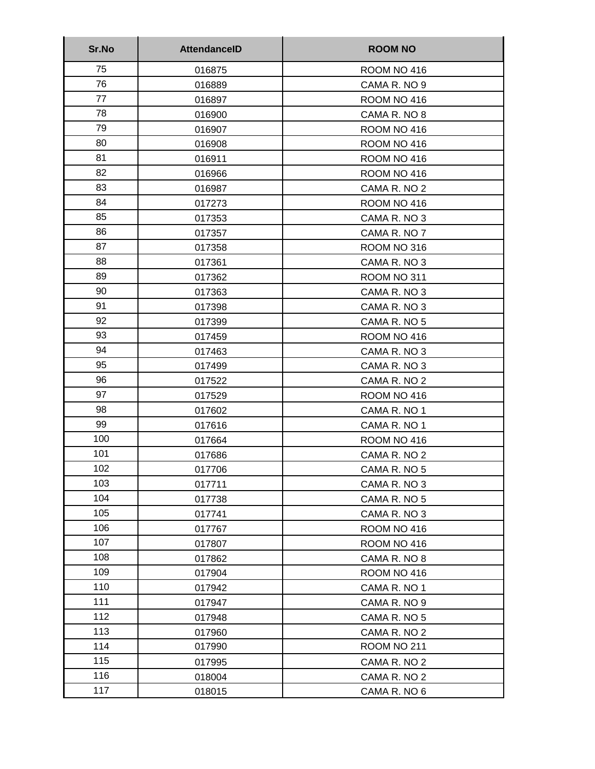| Sr.No | <b>AttendanceID</b> | <b>ROOM NO</b> |
|-------|---------------------|----------------|
| 75    | 016875              | ROOM NO 416    |
| 76    | 016889              | CAMA R. NO 9   |
| 77    | 016897              | ROOM NO 416    |
| 78    | 016900              | CAMA R. NO 8   |
| 79    | 016907              | ROOM NO 416    |
| 80    | 016908              | ROOM NO 416    |
| 81    | 016911              | ROOM NO 416    |
| 82    | 016966              | ROOM NO 416    |
| 83    | 016987              | CAMA R. NO 2   |
| 84    | 017273              | ROOM NO 416    |
| 85    | 017353              | CAMA R. NO 3   |
| 86    | 017357              | CAMA R. NO 7   |
| 87    | 017358              | ROOM NO 316    |
| 88    | 017361              | CAMA R. NO 3   |
| 89    | 017362              | ROOM NO 311    |
| 90    | 017363              | CAMA R. NO 3   |
| 91    | 017398              | CAMA R. NO 3   |
| 92    | 017399              | CAMA R. NO 5   |
| 93    | 017459              | ROOM NO 416    |
| 94    | 017463              | CAMA R. NO 3   |
| 95    | 017499              | CAMA R. NO 3   |
| 96    | 017522              | CAMA R. NO 2   |
| 97    | 017529              | ROOM NO 416    |
| 98    | 017602              | CAMA R. NO 1   |
| 99    | 017616              | CAMA R. NO 1   |
| 100   | 017664              | ROOM NO 416    |
| 101   | 017686              | CAMA R. NO 2   |
| 102   | 017706              | CAMA R. NO 5   |
| 103   | 017711              | CAMA R. NO 3   |
| 104   | 017738              | CAMA R. NO 5   |
| 105   | 017741              | CAMA R. NO 3   |
| 106   | 017767              | ROOM NO 416    |
| 107   | 017807              | ROOM NO 416    |
| 108   | 017862              | CAMA R. NO 8   |
| 109   | 017904              | ROOM NO 416    |
| 110   | 017942              | CAMA R. NO 1   |
| 111   | 017947              | CAMA R. NO 9   |
| 112   | 017948              | CAMA R. NO 5   |
| 113   | 017960              | CAMA R. NO 2   |
| 114   | 017990              | ROOM NO 211    |
| 115   | 017995              | CAMA R. NO 2   |
| 116   | 018004              | CAMA R. NO 2   |
| 117   | 018015              | CAMA R. NO 6   |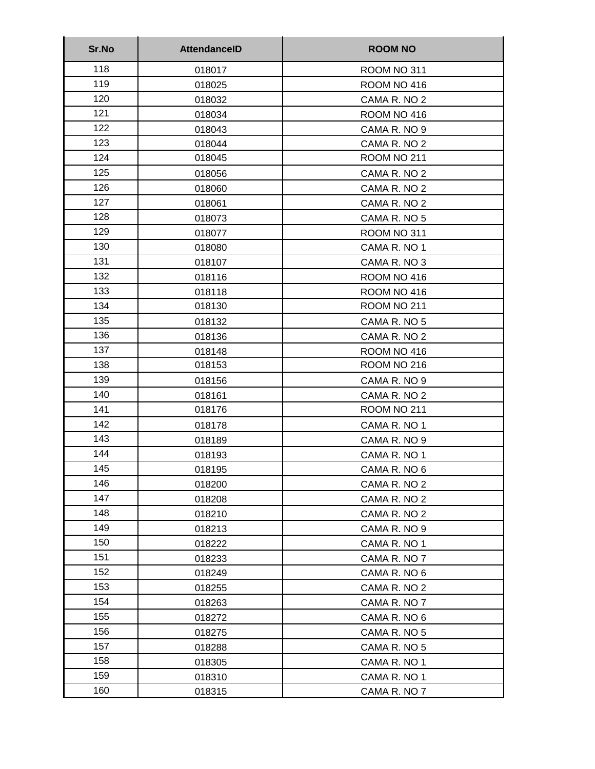| Sr.No | <b>AttendanceID</b> | <b>ROOM NO</b> |
|-------|---------------------|----------------|
| 118   | 018017              | ROOM NO 311    |
| 119   | 018025              | ROOM NO 416    |
| 120   | 018032              | CAMA R. NO 2   |
| 121   | 018034              | ROOM NO 416    |
| 122   | 018043              | CAMA R. NO 9   |
| 123   | 018044              | CAMA R. NO 2   |
| 124   | 018045              | ROOM NO 211    |
| 125   | 018056              | CAMA R. NO 2   |
| 126   | 018060              | CAMA R. NO 2   |
| 127   | 018061              | CAMA R. NO 2   |
| 128   | 018073              | CAMA R. NO 5   |
| 129   | 018077              | ROOM NO 311    |
| 130   | 018080              | CAMA R. NO 1   |
| 131   | 018107              | CAMA R. NO 3   |
| 132   | 018116              | ROOM NO 416    |
| 133   | 018118              | ROOM NO 416    |
| 134   | 018130              | ROOM NO 211    |
| 135   | 018132              | CAMA R. NO 5   |
| 136   | 018136              | CAMA R. NO 2   |
| 137   | 018148              | ROOM NO 416    |
| 138   | 018153              | ROOM NO 216    |
| 139   | 018156              | CAMA R. NO 9   |
| 140   | 018161              | CAMA R. NO 2   |
| 141   | 018176              | ROOM NO 211    |
| 142   | 018178              | CAMA R. NO 1   |
| 143   | 018189              | CAMA R. NO 9   |
| 144   | 018193              | CAMA R. NO 1   |
| 145   | 018195              | CAMA R. NO 6   |
| 146   | 018200              | CAMA R. NO 2   |
| 147   | 018208              | CAMA R. NO 2   |
| 148   | 018210              | CAMA R. NO 2   |
| 149   | 018213              | CAMA R. NO 9   |
| 150   | 018222              | CAMA R. NO 1   |
| 151   | 018233              | CAMA R. NO 7   |
| 152   | 018249              | CAMA R. NO 6   |
| 153   | 018255              | CAMA R. NO 2   |
| 154   | 018263              | CAMA R. NO 7   |
| 155   | 018272              | CAMA R. NO 6   |
| 156   | 018275              | CAMA R. NO 5   |
| 157   | 018288              | CAMA R. NO 5   |
| 158   | 018305              | CAMA R. NO 1   |
| 159   | 018310              | CAMA R. NO 1   |
| 160   | 018315              | CAMA R. NO 7   |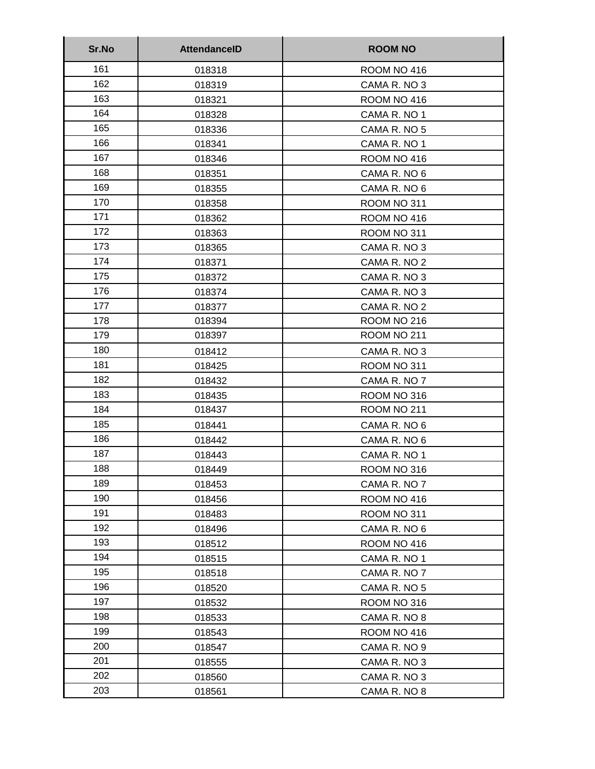| Sr.No | <b>AttendanceID</b> | <b>ROOM NO</b> |
|-------|---------------------|----------------|
| 161   | 018318              | ROOM NO 416    |
| 162   | 018319              | CAMA R. NO 3   |
| 163   | 018321              | ROOM NO 416    |
| 164   | 018328              | CAMA R. NO 1   |
| 165   | 018336              | CAMA R. NO 5   |
| 166   | 018341              | CAMA R. NO 1   |
| 167   | 018346              | ROOM NO 416    |
| 168   | 018351              | CAMA R. NO 6   |
| 169   | 018355              | CAMA R. NO 6   |
| 170   | 018358              | ROOM NO 311    |
| 171   | 018362              | ROOM NO 416    |
| 172   | 018363              | ROOM NO 311    |
| 173   | 018365              | CAMA R. NO 3   |
| 174   | 018371              | CAMA R. NO 2   |
| 175   | 018372              | CAMA R. NO 3   |
| 176   | 018374              | CAMA R. NO 3   |
| 177   | 018377              | CAMA R. NO 2   |
| 178   | 018394              | ROOM NO 216    |
| 179   | 018397              | ROOM NO 211    |
| 180   | 018412              | CAMA R. NO 3   |
| 181   | 018425              | ROOM NO 311    |
| 182   | 018432              | CAMA R. NO 7   |
| 183   | 018435              | ROOM NO 316    |
| 184   | 018437              | ROOM NO 211    |
| 185   | 018441              | CAMA R. NO 6   |
| 186   | 018442              | CAMA R. NO 6   |
| 187   | 018443              | CAMA R. NO 1   |
| 188   | 018449              | ROOM NO 316    |
| 189   | 018453              | CAMA R. NO 7   |
| 190   | 018456              | ROOM NO 416    |
| 191   | 018483              | ROOM NO 311    |
| 192   | 018496              | CAMA R. NO 6   |
| 193   | 018512              | ROOM NO 416    |
| 194   | 018515              | CAMA R. NO 1   |
| 195   | 018518              | CAMA R. NO 7   |
| 196   | 018520              | CAMA R. NO 5   |
| 197   | 018532              | ROOM NO 316    |
| 198   | 018533              | CAMA R. NO 8   |
| 199   | 018543              | ROOM NO 416    |
| 200   | 018547              | CAMA R. NO 9   |
| 201   | 018555              | CAMA R. NO 3   |
| 202   | 018560              | CAMA R. NO 3   |
| 203   | 018561              | CAMA R. NO 8   |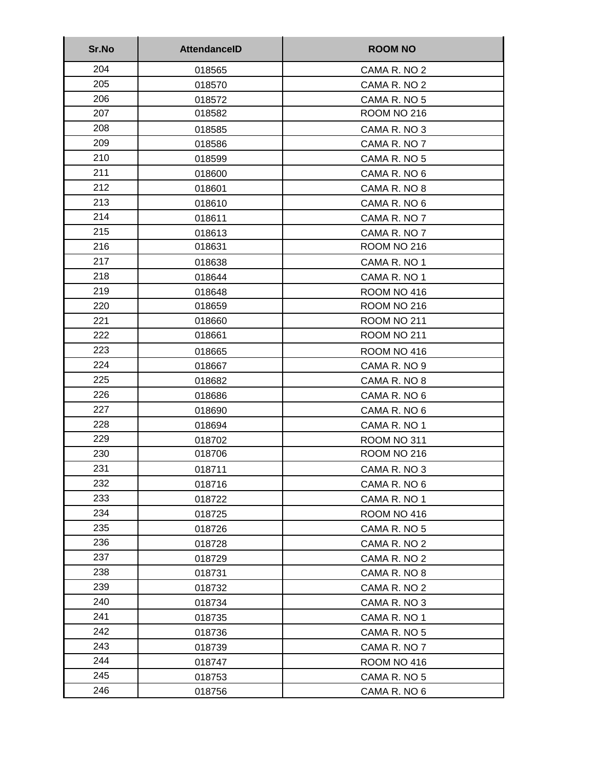| Sr.No | <b>AttendanceID</b> | <b>ROOM NO</b> |
|-------|---------------------|----------------|
| 204   | 018565              | CAMA R. NO 2   |
| 205   | 018570              | CAMA R. NO 2   |
| 206   | 018572              | CAMA R. NO 5   |
| 207   | 018582              | ROOM NO 216    |
| 208   | 018585              | CAMA R. NO 3   |
| 209   | 018586              | CAMA R. NO 7   |
| 210   | 018599              | CAMA R. NO 5   |
| 211   | 018600              | CAMA R. NO 6   |
| 212   | 018601              | CAMA R. NO 8   |
| 213   | 018610              | CAMA R. NO 6   |
| 214   | 018611              | CAMA R. NO 7   |
| 215   | 018613              | CAMA R. NO 7   |
| 216   | 018631              | ROOM NO 216    |
| 217   | 018638              | CAMA R. NO 1   |
| 218   | 018644              | CAMA R. NO 1   |
| 219   | 018648              | ROOM NO 416    |
| 220   | 018659              | ROOM NO 216    |
| 221   | 018660              | ROOM NO 211    |
| 222   | 018661              | ROOM NO 211    |
| 223   | 018665              | ROOM NO 416    |
| 224   | 018667              | CAMA R. NO 9   |
| 225   | 018682              | CAMA R. NO 8   |
| 226   | 018686              | CAMA R. NO 6   |
| 227   | 018690              | CAMA R. NO 6   |
| 228   | 018694              | CAMA R. NO 1   |
| 229   | 018702              | ROOM NO 311    |
| 230   | 018706              | ROOM NO 216    |
| 231   | 018711              | CAMA R. NO 3   |
| 232   | 018716              | CAMA R. NO 6   |
| 233   | 018722              | CAMA R. NO 1   |
| 234   | 018725              | ROOM NO 416    |
| 235   | 018726              | CAMA R. NO 5   |
| 236   | 018728              | CAMA R. NO 2   |
| 237   | 018729              | CAMA R. NO 2   |
| 238   | 018731              | CAMA R. NO 8   |
| 239   | 018732              | CAMA R. NO 2   |
| 240   | 018734              | CAMA R. NO 3   |
| 241   | 018735              | CAMA R. NO 1   |
| 242   | 018736              | CAMA R. NO 5   |
| 243   | 018739              | CAMA R. NO 7   |
| 244   | 018747              | ROOM NO 416    |
| 245   | 018753              | CAMA R. NO 5   |
| 246   | 018756              | CAMA R. NO 6   |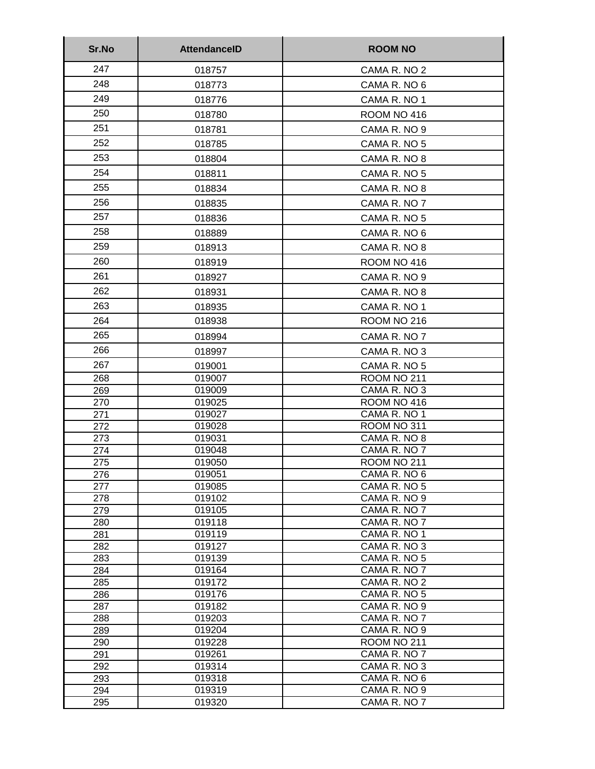| Sr.No      | <b>AttendanceID</b> | <b>ROOM NO</b>               |
|------------|---------------------|------------------------------|
| 247        | 018757              | CAMA R. NO 2                 |
| 248        | 018773              | CAMA R. NO 6                 |
| 249        | 018776              | CAMA R. NO 1                 |
| 250        | 018780              | ROOM NO 416                  |
| 251        | 018781              | CAMA R. NO 9                 |
| 252        | 018785              | CAMA R. NO 5                 |
|            |                     |                              |
| 253        | 018804              | CAMA R. NO 8                 |
| 254        | 018811              | CAMA R. NO 5                 |
| 255        | 018834              | CAMA R. NO 8                 |
| 256        | 018835              | CAMA R. NO 7                 |
| 257        | 018836              | CAMA R. NO 5                 |
| 258        | 018889              | CAMA R. NO 6                 |
| 259        | 018913              | CAMA R. NO 8                 |
| 260        | 018919              | ROOM NO 416                  |
| 261        | 018927              | CAMA R. NO 9                 |
| 262        |                     | CAMA R. NO 8                 |
| 263        | 018931              |                              |
|            | 018935              | CAMA R. NO 1                 |
| 264        | 018938              | <b>ROOM NO 216</b>           |
| 265        | 018994              | CAMA R. NO 7                 |
| 266        | 018997              | CAMA R. NO 3                 |
| 267        | 019001              | CAMA R. NO 5                 |
| 268        | 019007              | ROOM NO 211                  |
| 269        | 019009              | CAMA R. NO 3                 |
| 270        | 019025              | ROOM NO 416                  |
| 271<br>272 | 019027<br>019028    | CAMA R. NO 1<br>ROOM NO 311  |
| 273        | 019031              | CAMA R. NO 8                 |
| 274        | 019048              | CAMA R. NO 7                 |
| 275        | 019050              | ROOM NO 211                  |
| 276        | 019051              | CAMA R. NO 6                 |
| 277        | 019085              | CAMA R. NO 5                 |
| 278        | 019102              | CAMA R. NO 9                 |
| 279        | 019105              | CAMA R. NO 7                 |
| 280        | 019118              | CAMA R. NO 7<br>CAMA R. NO 1 |
| 281<br>282 | 019119<br>019127    | CAMA R. NO 3                 |
| 283        | 019139              | CAMA R. NO 5                 |
| 284        | 019164              | CAMA R. NO 7                 |
| 285        | 019172              | CAMA R. NO 2                 |
| 286        | 019176              | CAMA R. NO 5                 |
| 287        | 019182              | CAMA R. NO 9                 |
| 288        | 019203              | CAMA R. NO 7                 |
| 289        | 019204              | CAMA R. NO 9                 |
| 290<br>291 | 019228<br>019261    | ROOM NO 211<br>CAMA R. NO 7  |
| 292        | 019314              | CAMA R. NO 3                 |
| 293        | 019318              | CAMA R. NO 6                 |
| 294        | 019319              | CAMA R. NO 9                 |
| 295        | 019320              | CAMA R. NO 7                 |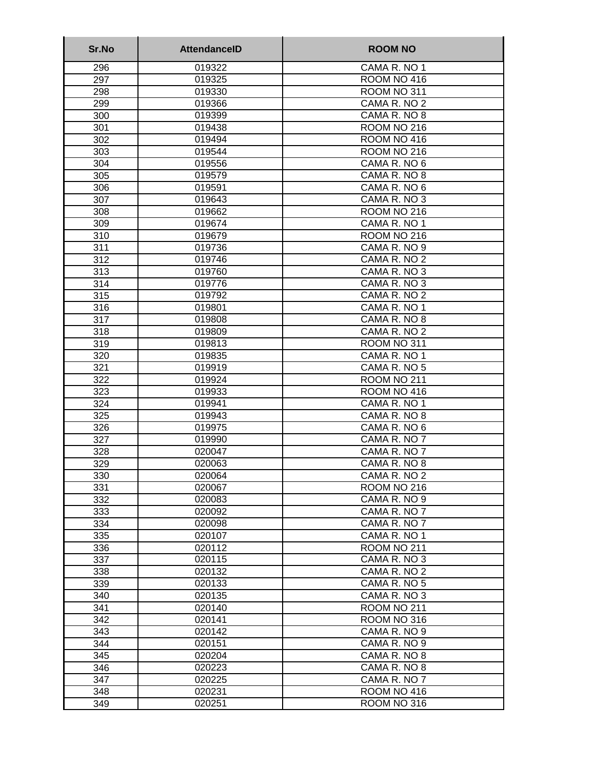| Sr.No      | <b>AttendanceID</b> | <b>ROOM NO</b>               |
|------------|---------------------|------------------------------|
| 296        | 019322              | CAMA R. NO 1                 |
| 297        | 019325              | ROOM NO 416                  |
| 298        | 019330              | ROOM NO 311                  |
| 299        | 019366              | CAMA R. NO 2                 |
| 300        | 019399              | CAMA R. NO 8                 |
| 301        | 019438              | ROOM NO 216                  |
| 302        | 019494              | ROOM NO 416                  |
| 303        | 019544              | <b>ROOM NO 216</b>           |
| 304        | 019556              | CAMA R. NO 6                 |
| 305        | 019579              | CAMA R. NO 8                 |
| 306        | 019591              | CAMA R. NO 6                 |
| 307        | 019643              | CAMA R. NO 3                 |
| 308        | 019662              | ROOM NO 216                  |
| 309        | 019674              | CAMA R. NO 1                 |
| 310        | 019679              | ROOM NO 216                  |
| 311        | 019736              | CAMA R. NO 9                 |
| 312        | 019746              | CAMA R. NO 2                 |
| 313        | 019760              | CAMA R. NO 3                 |
| 314        | 019776              | CAMA R. NO 3                 |
| 315        | 019792              | CAMA R. NO 2                 |
| 316        | 019801              | CAMA R. NO 1                 |
| 317        | 019808              | CAMA R. NO 8                 |
| 318        | 019809              | CAMA R. NO 2                 |
| 319        | 019813              | ROOM NO 311                  |
| 320        | 019835              | CAMA R. NO 1                 |
| 321        | 019919              | CAMA R. NO 5                 |
| 322        | 019924              | ROOM NO 211                  |
| 323        | 019933              | ROOM NO 416                  |
| 324        | 019941              | CAMA R. NO 1                 |
| 325        | 019943              | CAMA R. NO 8                 |
| 326        | 019975              | CAMA R. NO 6                 |
| 327        | 019990              | CAMA R. NO 7                 |
| 328        | 020047              | CAMA R. NO 7                 |
| 329        | 020063<br>020064    | CAMA R. NO 8                 |
| 330        |                     | CAMA R. NO 2                 |
| 331        | 020067              | ROOM NO 216                  |
| 332        | 020083<br>020092    | CAMA R. NO 9<br>CAMA R. NO 7 |
| 333<br>334 | 020098              | CAMA R. NO 7                 |
| 335        | 020107              | CAMA R. NO 1                 |
| 336        | 020112              | ROOM NO 211                  |
| 337        | 020115              | CAMA R. NO 3                 |
| 338        | 020132              | CAMA R. NO 2                 |
| 339        | 020133              | CAMA R. NO 5                 |
| 340        | 020135              | CAMA R. NO 3                 |
| 341        | 020140              | <b>ROOM NO 211</b>           |
| 342        | 020141              | ROOM NO 316                  |
| 343        | 020142              | CAMA R. NO 9                 |
| 344        | 020151              | CAMA R. NO 9                 |
| 345        | 020204              | CAMA R. NO 8                 |
| 346        | 020223              | CAMA R. NO 8                 |
| 347        | 020225              | CAMA R. NO 7                 |
| 348        | 020231              | ROOM NO 416                  |
| 349        | 020251              | ROOM NO 316                  |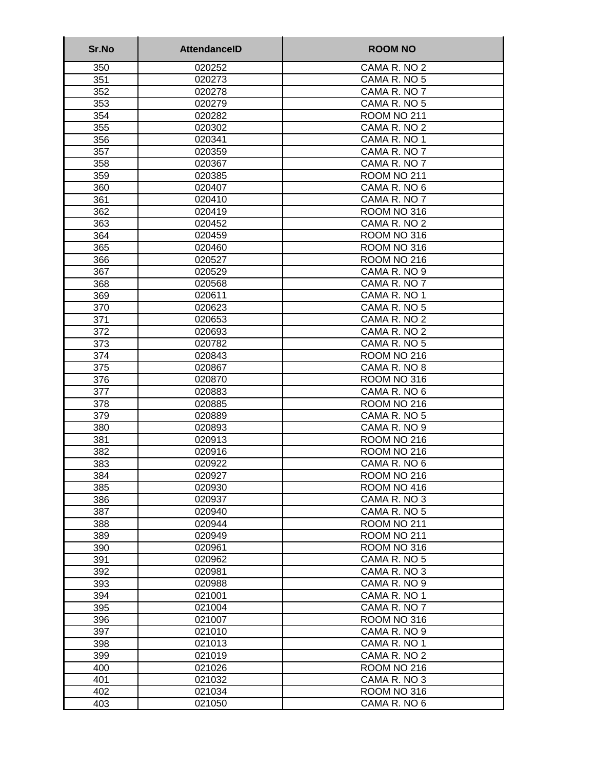| Sr.No      | <b>AttendanceID</b> | <b>ROOM NO</b>              |
|------------|---------------------|-----------------------------|
| 350        | 020252              | CAMA R. NO 2                |
| 351        | 020273              | CAMA R. NO 5                |
| 352        | 020278              | CAMA R. NO 7                |
| 353        | 020279              | CAMA R. NO 5                |
| 354        | 020282              | <b>ROOM NO 211</b>          |
| 355        | 020302              | CAMA R. NO 2                |
| 356        | 020341              | CAMA R. NO 1                |
| 357        | 020359              | CAMA R. NO 7                |
| 358        | 020367              | CAMA R. NO 7                |
| 359        | 020385              | ROOM NO 211                 |
| 360        | 020407              | CAMA R. NO 6                |
| 361        | 020410              | CAMA R. NO 7                |
| 362        | 020419              | ROOM NO 316                 |
| 363        | 020452              | CAMA R. NO 2                |
| 364        | 020459              | ROOM NO 316                 |
| 365        | 020460              | ROOM NO 316                 |
| 366        | 020527              | ROOM NO 216                 |
| 367        | 020529              | CAMA R. NO 9                |
| 368        | 020568              | CAMA R. NO 7                |
| 369        | 020611              | CAMA R. NO 1                |
| 370        | 020623              | CAMA R. NO 5                |
| 371        | 020653              | CAMA R. NO 2                |
| 372        | 020693              | CAMA R. NO 2                |
| 373        | 020782              | CAMA R. NO 5                |
| 374        | 020843              | ROOM NO 216                 |
| 375        | 020867              | CAMA R. NO 8                |
| 376        | 020870              | ROOM NO 316                 |
| 377        | 020883              | CAMA R. NO 6                |
| 378        | 020885              | <b>ROOM NO 216</b>          |
| 379        | 020889              | CAMA R. NO 5                |
| 380        | 020893              | CAMA R. NO 9                |
| 381        | 020913              | ROOM NO 216                 |
| 382        | 020916              | ROOM NO 216<br>CAMA R. NO 6 |
| 383        | 020922              |                             |
| 384        | 020927<br>020930    | ROOM NO 216<br>ROOM NO 416  |
| 385<br>386 | 020937              | CAMA R. NO 3                |
| 387        | 020940              | CAMA R. NO 5                |
| 388        | 020944              | <b>ROOM NO 211</b>          |
| 389        | 020949              | ROOM NO 211                 |
| 390        | 020961              | ROOM NO 316                 |
| 391        | 020962              | CAMA R. NO 5                |
| 392        | 020981              | CAMA R. NO 3                |
| 393        | 020988              | CAMA R. NO 9                |
| 394        | 021001              | CAMA R. NO 1                |
| 395        | 021004              | CAMA R. NO 7                |
| 396        | 021007              | ROOM NO 316                 |
| 397        | 021010              | CAMA R. NO 9                |
| 398        | 021013              | CAMA R. NO 1                |
| 399        | 021019              | CAMA R. NO 2                |
| 400        | 021026              | ROOM NO 216                 |
| 401        | 021032              | CAMA R. NO 3                |
| 402        | 021034              | ROOM NO 316                 |
| 403        | 021050              | CAMA R. NO 6                |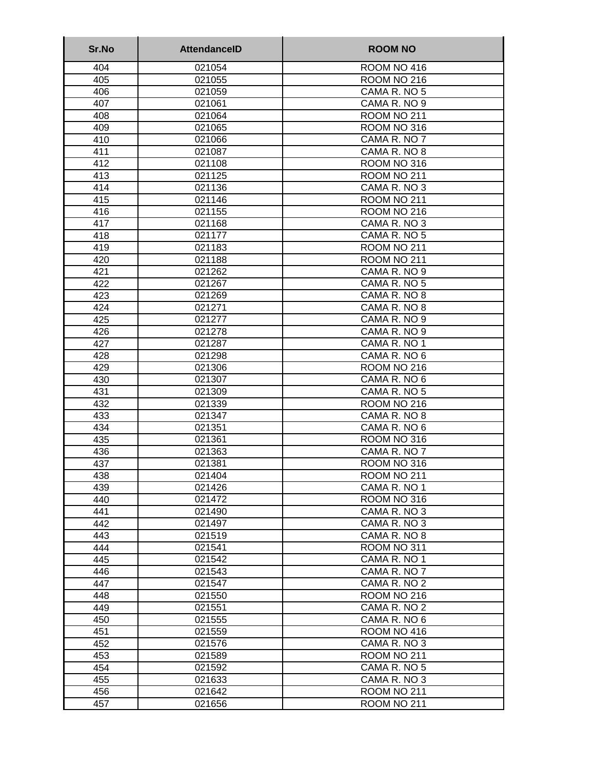| Sr.No      | <b>AttendancelD</b> | <b>ROOM NO</b>                     |
|------------|---------------------|------------------------------------|
| 404        | 021054              | ROOM NO 416                        |
| 405        | 021055              | ROOM NO 216                        |
| 406        | 021059              | CAMA R. NO 5                       |
| 407        | 021061              | CAMA R. NO 9                       |
| 408        | 021064              | ROOM NO 211                        |
| 409        | 021065              | ROOM NO 316                        |
| 410        | 021066              | CAMA R. NO 7                       |
| 411        | 021087              | CAMA R. NO 8                       |
| 412        | 021108              | ROOM NO 316                        |
| 413        | 021125              | ROOM NO 211                        |
| 414        | 021136              | CAMA R. NO 3                       |
| 415        | 021146              | ROOM NO 211                        |
| 416        | 021155              | ROOM NO 216                        |
| 417        | 021168              | CAMA R. NO 3                       |
| 418        | 021177              | CAMA R. NO 5                       |
| 419        | 021183              | ROOM NO 211                        |
| 420        | 021188              | ROOM NO 211                        |
| 421        | 021262              | CAMA R. NO 9                       |
| 422        | 021267              | CAMA R. NO 5                       |
| 423        | 021269              | CAMA R. NO 8                       |
| 424        | 021271              | CAMA R. NO 8                       |
| 425        | 021277              | CAMA R. NO 9                       |
| 426        | 021278              | CAMA R. NO 9                       |
| 427        | 021287              | CAMA R. NO 1                       |
| 428        | 021298              | CAMA R. NO 6                       |
| 429        | 021306              | ROOM NO 216                        |
| 430        | 021307              | CAMA R. NO 6                       |
| 431        | 021309              | CAMA R. NO 5                       |
| 432<br>433 | 021339<br>021347    | <b>ROOM NO 216</b><br>CAMA R. NO 8 |
|            | 021351              | CAMA R. NO 6                       |
| 434<br>435 | 021361              | ROOM NO 316                        |
| 436        | 021363              | CAMA R. NO 7                       |
| 437        | 021381              | ROOM NO 316                        |
| 438        | 021404              | ROOM NO 211                        |
| 439        | 021426              | CAMA R. NO 1                       |
| 440        | 021472              | ROOM NO 316                        |
| 441        | 021490              | CAMA R. NO 3                       |
| 442        | 021497              | CAMA R. NO 3                       |
| 443        | 021519              | CAMA R. NO 8                       |
| 444        | 021541              | <b>ROOM NO 311</b>                 |
| 445        | 021542              | CAMA R. NO 1                       |
| 446        | 021543              | CAMA R. NO 7                       |
| 447        | 021547              | CAMA R. NO 2                       |
| 448        | 021550              | ROOM NO 216                        |
| 449        | 021551              | CAMA R. NO 2                       |
| 450        | 021555              | CAMA R. NO 6                       |
| 451        | 021559              | ROOM NO 416                        |
| 452        | 021576              | CAMA R. NO 3                       |
| 453        | 021589              | <b>ROOM NO 211</b>                 |
| 454        | 021592              | CAMA R. NO 5                       |
| 455        | 021633              | CAMA R. NO 3                       |
| 456        | 021642              | <b>ROOM NO 211</b>                 |
| 457        | 021656              | <b>ROOM NO 211</b>                 |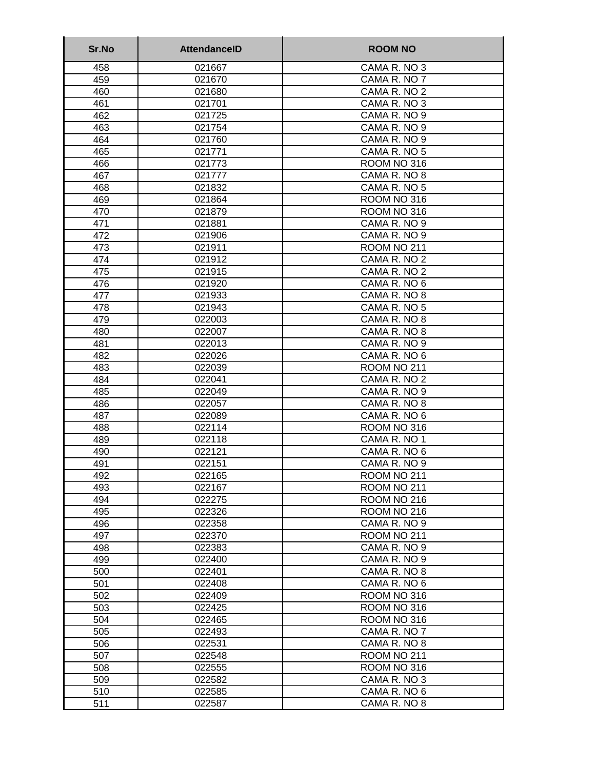| Sr.No      | <b>AttendanceID</b> | <b>ROOM NO</b>               |
|------------|---------------------|------------------------------|
| 458        | 021667              | CAMA R. NO 3                 |
| 459        | 021670              | CAMA R. NO 7                 |
| 460        | 021680              | CAMA R. NO 2                 |
| 461        | 021701              | CAMA R. NO 3                 |
| 462        | 021725              | CAMA R. NO 9                 |
| 463        | 021754              | CAMA R. NO 9                 |
| 464        | 021760              | CAMA R. NO 9                 |
| 465        | 021771              | CAMA R. NO 5                 |
| 466        | 021773              | ROOM NO 316                  |
| 467        | 021777              | CAMA R. NO 8                 |
| 468        | 021832              | CAMA R. NO 5                 |
| 469        | 021864              | ROOM NO 316                  |
| 470        | 021879              | ROOM NO 316                  |
| 471        | 021881              | CAMA R. NO 9                 |
| 472        | 021906              | CAMA R. NO 9                 |
| 473        | 021911              | <b>ROOM NO 211</b>           |
| 474        | 021912              | CAMA R. NO 2                 |
| 475        | 021915              | CAMA R. NO 2                 |
| 476        | 021920              | CAMA R. NO 6                 |
| 477        | 021933              | CAMA R. NO 8                 |
| 478        | 021943              | CAMA R. NO 5                 |
| 479        | 022003              | CAMA R. NO 8                 |
| 480<br>481 | 022007              | CAMA R. NO 8                 |
| 482        | 022013<br>022026    | CAMA R. NO 9<br>CAMA R. NO 6 |
| 483        | 022039              | ROOM NO 211                  |
| 484        | 022041              | CAMA R. NO 2                 |
| 485        | 022049              | CAMA R. NO 9                 |
| 486        | 022057              | CAMA R. NO 8                 |
| 487        | 022089              | CAMA R. NO 6                 |
| 488        | 022114              | ROOM NO 316                  |
| 489        | 022118              | CAMA R. NO 1                 |
| 490        | 022121              | CAMA R. NO 6                 |
| 491        | 022151              | CAMA R. NO 9                 |
| 492        | 022165              | ROOM NO 211                  |
| 493        | 022167              | ROOM NO 211                  |
| 494        | 022275              | ROOM NO 216                  |
| 495        | 022326              | ROOM NO 216                  |
| 496        | 022358              | CAMA R. NO 9                 |
| 497        | 022370              | ROOM NO 211                  |
| 498        | 022383              | CAMA R. NO 9                 |
| 499        | 022400              | CAMA R. NO 9                 |
| 500        | 022401              | CAMA R. NO 8                 |
| 501        | 022408              | CAMA R. NO 6                 |
| 502        | 022409              | ROOM NO 316                  |
| 503        | 022425              | ROOM NO 316                  |
| 504        | 022465              | ROOM NO 316                  |
| 505        | 022493              | CAMA R. NO 7                 |
| 506        | 022531              | CAMA R. NO 8                 |
| 507        | 022548              | <b>ROOM NO 211</b>           |
| 508        | 022555              | ROOM NO 316                  |
| 509        | 022582              | CAMA R. NO 3                 |
| 510        | 022585              | CAMA R. NO 6                 |
| 511        | 022587              | CAMA R. NO 8                 |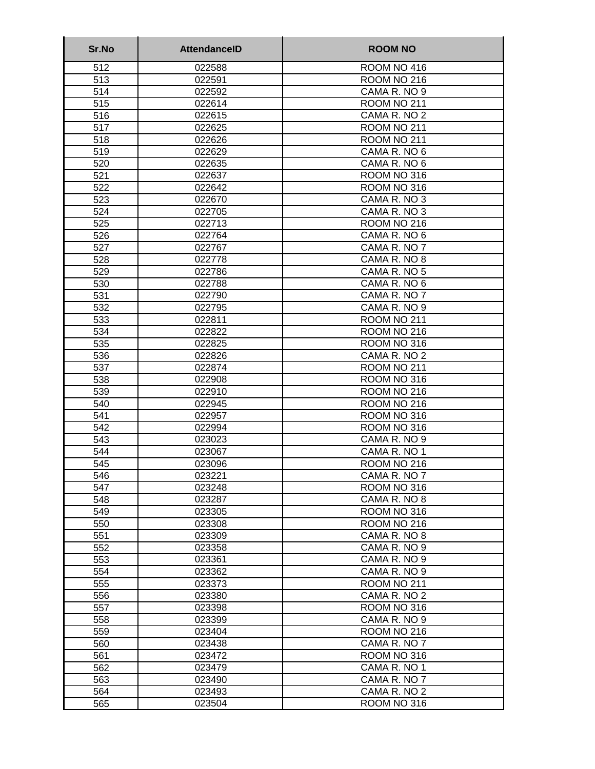| Sr.No      | <b>AttendanceID</b> | <b>ROOM NO</b>               |
|------------|---------------------|------------------------------|
| 512        | 022588              | ROOM NO 416                  |
| 513        | 022591              | ROOM NO 216                  |
| 514        | 022592              | CAMA R. NO 9                 |
| 515        | 022614              | ROOM NO 211                  |
| 516        | 022615              | CAMA R. NO 2                 |
| 517        | 022625              | ROOM NO 211                  |
| 518        | 022626              | ROOM NO 211                  |
| 519        | 022629              | CAMA R. NO 6                 |
| 520        | 022635              | CAMA R. NO 6                 |
| 521        | 022637              | ROOM NO 316                  |
| 522        | 022642              | ROOM NO 316                  |
| 523        | 022670              | CAMA R. NO 3                 |
| 524        | 022705              | CAMA R. NO 3                 |
| 525        | 022713              | <b>ROOM NO 216</b>           |
| 526        | 022764              | CAMA R. NO 6                 |
| 527        | 022767              | CAMA R. NO 7                 |
| 528        | 022778              | CAMA R. NO 8                 |
| 529        | 022786              | CAMA R. NO 5                 |
| 530        | 022788              | CAMA R. NO 6                 |
| 531        | 022790              | CAMA R. NO 7                 |
| 532        | 022795              | CAMA R. NO 9                 |
| 533        | 022811              | ROOM NO 211                  |
| 534        | 022822              | ROOM NO 216                  |
| 535        | 022825              | ROOM NO 316                  |
| 536        | 022826              | CAMA R. NO 2                 |
| 537        | 022874              | ROOM NO 211                  |
| 538        | 022908              | ROOM NO 316                  |
| 539        | 022910              | ROOM NO 216                  |
| 540        | 022945              | ROOM NO 216                  |
| 541        | 022957              | ROOM NO 316                  |
| 542        | 022994              | ROOM NO 316                  |
| 543        | 023023              | CAMA R. NO 9                 |
| 544        | 023067              | CAMA R. NO 1                 |
| 545        | 023096              | ROOM NO 216                  |
| 546        | 023221              | CAMA R. NO 7                 |
| 547        | 023248              | ROOM NO 316                  |
| 548        | 023287              | CAMA R. NO 8                 |
| 549        | 023305              | ROOM NO 316                  |
| 550        | 023308              | ROOM NO 216                  |
| 551        | 023309              | CAMA R. NO 8                 |
| 552        | 023358              | CAMA R. NO 9                 |
| 553        | 023361              | CAMA R. NO 9                 |
| 554        | 023362              | CAMA R. NO 9                 |
| 555        | 023373              | <b>ROOM NO 211</b>           |
| 556        | 023380              | CAMA R. NO 2                 |
| 557        | 023398              | ROOM NO 316                  |
| 558        | 023399              | CAMA R. NO 9                 |
| 559        | 023404              | ROOM NO 216                  |
| 560        | 023438              | CAMA R. NO 7                 |
| 561<br>562 | 023472              | ROOM NO 316<br>CAMA R. NO 1  |
|            | 023479              |                              |
| 563<br>564 | 023490<br>023493    | CAMA R. NO 7<br>CAMA R. NO 2 |
|            | 023504              | ROOM NO 316                  |
| 565        |                     |                              |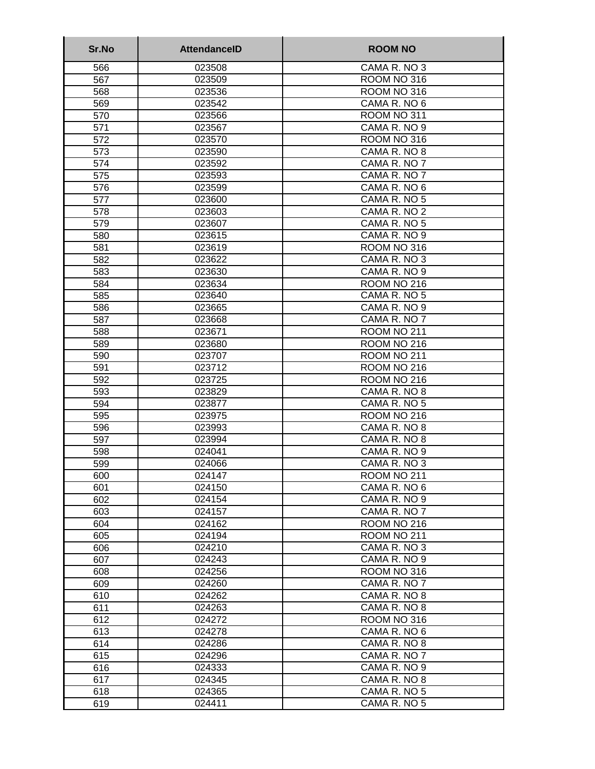| Sr.No      | <b>AttendanceID</b> | <b>ROOM NO</b>              |
|------------|---------------------|-----------------------------|
| 566        | 023508              | CAMA R. NO 3                |
| 567        | 023509              | ROOM NO 316                 |
| 568        | 023536              | ROOM NO 316                 |
| 569        | 023542              | CAMA R. NO 6                |
| 570        | 023566              | ROOM NO 311                 |
| 571        | 023567              | CAMA R. NO 9                |
| 572        | 023570              | ROOM NO 316                 |
| 573        | 023590              | CAMA R. NO 8                |
| 574        | 023592              | CAMA R. NO 7                |
| 575        | 023593              | CAMA R. NO 7                |
| 576        | 023599              | CAMA R. NO 6                |
| 577        | 023600              | CAMA R. NO 5                |
| 578        | 023603              | CAMA R. NO 2                |
| 579        | 023607              | CAMA R. NO 5                |
| 580        | 023615              | CAMA R. NO 9                |
| 581        | 023619              | ROOM NO 316                 |
| 582        | 023622              | CAMA R. NO 3                |
| 583        | 023630              | CAMA R. NO 9                |
| 584        | 023634              | ROOM NO 216                 |
| 585        | 023640              | CAMA R. NO 5                |
| 586        | 023665              | CAMA R. NO 9                |
| 587        | 023668              | CAMA R. NO 7                |
| 588        | 023671              | ROOM NO 211                 |
| 589        | 023680              | ROOM NO 216                 |
| 590        | 023707              | ROOM NO 211                 |
| 591        | 023712              | ROOM NO 216                 |
| 592        | 023725<br>023829    | ROOM NO 216<br>CAMA R. NO 8 |
| 593<br>594 | 023877              | CAMA R. NO 5                |
| 595        | 023975              | <b>ROOM NO 216</b>          |
| 596        | 023993              | CAMA R. NO 8                |
| 597        | 023994              | CAMA R. NO 8                |
| 598        | 024041              | CAMA R. NO 9                |
| 599        | 024066              | CAMA R. NO 3                |
| 600        | 024147              | ROOM NO 211                 |
| 601        | 024150              | CAMA R. NO 6                |
| 602        | 024154              | CAMA R. NO 9                |
| 603        | 024157              | CAMA R. NO 7                |
| 604        | 024162              | ROOM NO 216                 |
| 605        | 024194              | ROOM NO 211                 |
| 606        | 024210              | CAMA R. NO 3                |
| 607        | 024243              | CAMA R. NO 9                |
| 608        | 024256              | ROOM NO 316                 |
| 609        | 024260              | CAMA R. NO 7                |
| 610        | 024262              | CAMA R. NO 8                |
| 611        | 024263              | CAMA R. NO 8                |
| 612        | 024272              | ROOM NO 316                 |
| 613        | 024278              | CAMA R. NO 6                |
| 614        | 024286              | CAMA R. NO 8                |
| 615        | 024296              | CAMA R. NO 7                |
| 616        | 024333              | CAMA R. NO 9                |
| 617        | 024345              | CAMA R. NO 8                |
| 618        | 024365              | CAMA R. NO 5                |
| 619        | 024411              | CAMA R. NO 5                |